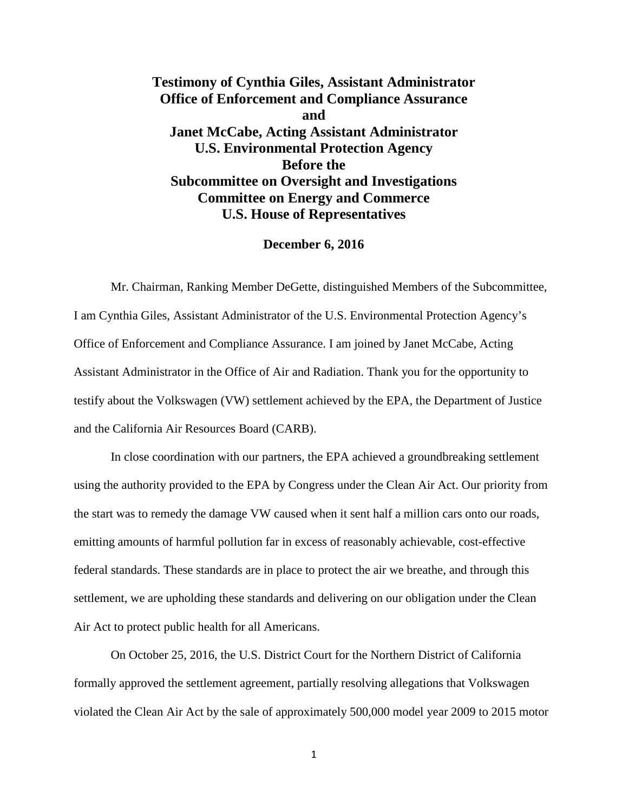**Testimony of Cynthia Giles, Assistant Administrator Office of Enforcement and Compliance Assurance and Janet McCabe, Acting Assistant Administrator U.S. Environmental Protection Agency Before the Subcommittee on Oversight and Investigations Committee on Energy and Commerce U.S. House of Representatives**

## **December 6, 2016**

Mr. Chairman, Ranking Member DeGette, distinguished Members of the Subcommittee, I am Cynthia Giles, Assistant Administrator of the U.S. Environmental Protection Agency's Office of Enforcement and Compliance Assurance. I am joined by Janet McCabe, Acting Assistant Administrator in the Office of Air and Radiation. Thank you for the opportunity to testify about the Volkswagen (VW) settlement achieved by the EPA, the Department of Justice and the California Air Resources Board (CARB).

In close coordination with our partners, the EPA achieved a groundbreaking settlement using the authority provided to the EPA by Congress under the Clean Air Act. Our priority from the start was to remedy the damage VW caused when it sent half a million cars onto our roads, emitting amounts of harmful pollution far in excess of reasonably achievable, cost-effective federal standards. These standards are in place to protect the air we breathe, and through this settlement, we are upholding these standards and delivering on our obligation under the Clean Air Act to protect public health for all Americans.

On October 25, 2016, the U.S. District Court for the Northern District of California formally approved the settlement agreement, partially resolving allegations that Volkswagen violated the Clean Air Act by the sale of approximately 500,000 model year 2009 to 2015 motor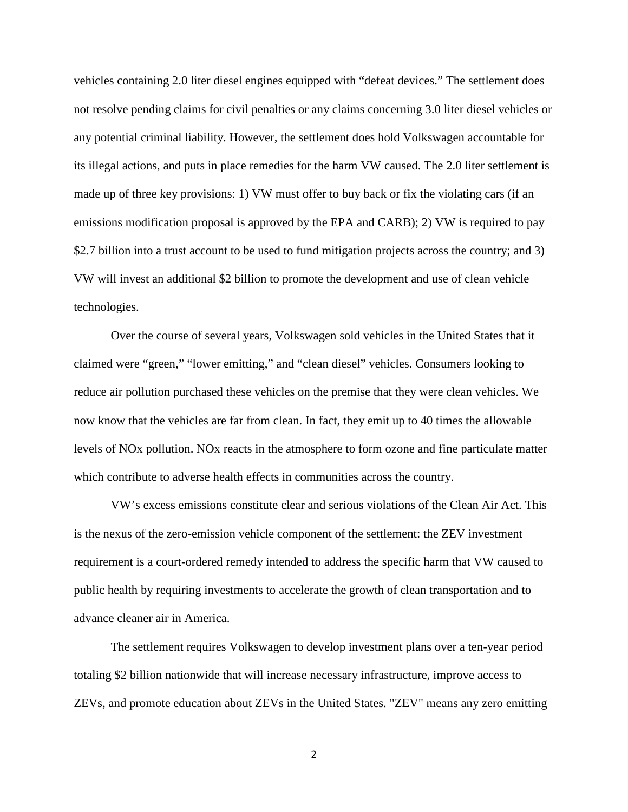vehicles containing 2.0 liter diesel engines equipped with "defeat devices." The settlement does not resolve pending claims for civil penalties or any claims concerning 3.0 liter diesel vehicles or any potential criminal liability. However, the settlement does hold Volkswagen accountable for its illegal actions, and puts in place remedies for the harm VW caused. The 2.0 liter settlement is made up of three key provisions: 1) VW must offer to buy back or fix the violating cars (if an emissions modification proposal is approved by the EPA and CARB); 2) VW is required to pay \$2.7 billion into a trust account to be used to fund mitigation projects across the country; and 3) VW will invest an additional \$2 billion to promote the development and use of clean vehicle technologies.

Over the course of several years, Volkswagen sold vehicles in the United States that it claimed were "green," "lower emitting," and "clean diesel" vehicles. Consumers looking to reduce air pollution purchased these vehicles on the premise that they were clean vehicles. We now know that the vehicles are far from clean. In fact, they emit up to 40 times the allowable levels of NOx pollution. NOx reacts in the atmosphere to form ozone and fine particulate matter which contribute to adverse health effects in communities across the country.

VW's excess emissions constitute clear and serious violations of the Clean Air Act. This is the nexus of the zero-emission vehicle component of the settlement: the ZEV investment requirement is a court-ordered remedy intended to address the specific harm that VW caused to public health by requiring investments to accelerate the growth of clean transportation and to advance cleaner air in America.

The settlement requires Volkswagen to develop investment plans over a ten-year period totaling \$2 billion nationwide that will increase necessary infrastructure, improve access to ZEVs, and promote education about ZEVs in the United States. "ZEV" means any zero emitting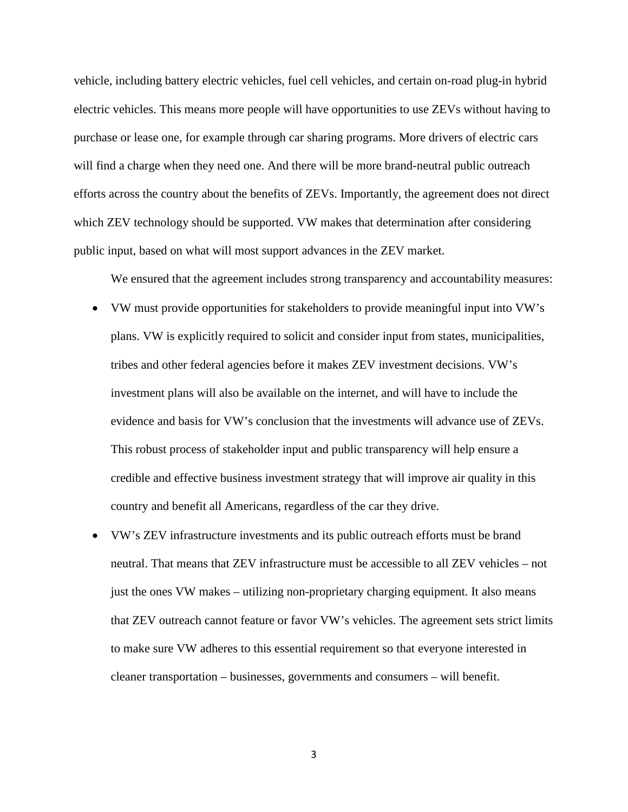vehicle, including battery electric vehicles, fuel cell vehicles, and certain on-road plug-in hybrid electric vehicles. This means more people will have opportunities to use ZEVs without having to purchase or lease one, for example through car sharing programs. More drivers of electric cars will find a charge when they need one. And there will be more brand-neutral public outreach efforts across the country about the benefits of ZEVs. Importantly, the agreement does not direct which ZEV technology should be supported. VW makes that determination after considering public input, based on what will most support advances in the ZEV market.

We ensured that the agreement includes strong transparency and accountability measures:

- VW must provide opportunities for stakeholders to provide meaningful input into VW's plans. VW is explicitly required to solicit and consider input from states, municipalities, tribes and other federal agencies before it makes ZEV investment decisions. VW's investment plans will also be available on the internet, and will have to include the evidence and basis for VW's conclusion that the investments will advance use of ZEVs. This robust process of stakeholder input and public transparency will help ensure a credible and effective business investment strategy that will improve air quality in this country and benefit all Americans, regardless of the car they drive.
- VW's ZEV infrastructure investments and its public outreach efforts must be brand neutral. That means that ZEV infrastructure must be accessible to all ZEV vehicles – not just the ones VW makes – utilizing non-proprietary charging equipment. It also means that ZEV outreach cannot feature or favor VW's vehicles. The agreement sets strict limits to make sure VW adheres to this essential requirement so that everyone interested in cleaner transportation – businesses, governments and consumers – will benefit.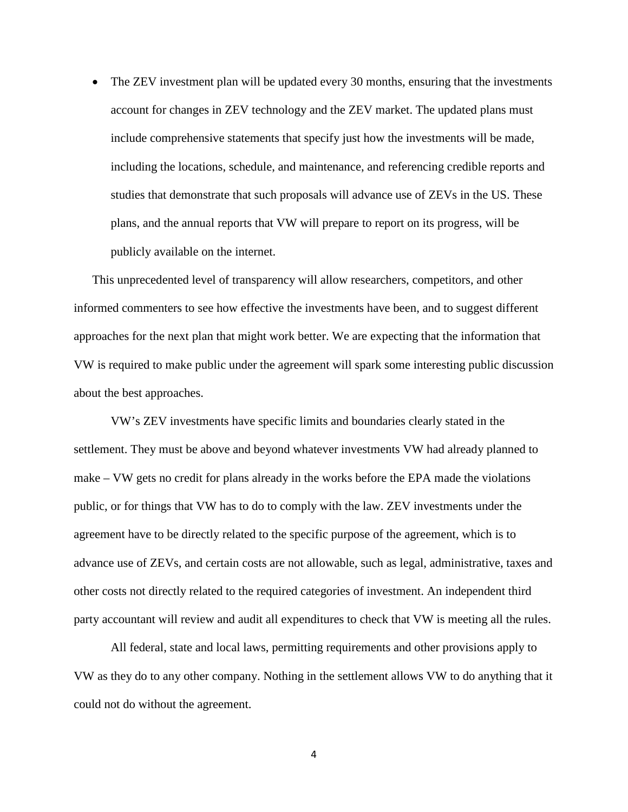• The ZEV investment plan will be updated every 30 months, ensuring that the investments account for changes in ZEV technology and the ZEV market. The updated plans must include comprehensive statements that specify just how the investments will be made, including the locations, schedule, and maintenance, and referencing credible reports and studies that demonstrate that such proposals will advance use of ZEVs in the US. These plans, and the annual reports that VW will prepare to report on its progress, will be publicly available on the internet.

This unprecedented level of transparency will allow researchers, competitors, and other informed commenters to see how effective the investments have been, and to suggest different approaches for the next plan that might work better. We are expecting that the information that VW is required to make public under the agreement will spark some interesting public discussion about the best approaches.

VW's ZEV investments have specific limits and boundaries clearly stated in the settlement. They must be above and beyond whatever investments VW had already planned to make – VW gets no credit for plans already in the works before the EPA made the violations public, or for things that VW has to do to comply with the law. ZEV investments under the agreement have to be directly related to the specific purpose of the agreement, which is to advance use of ZEVs, and certain costs are not allowable, such as legal, administrative, taxes and other costs not directly related to the required categories of investment. An independent third party accountant will review and audit all expenditures to check that VW is meeting all the rules.

All federal, state and local laws, permitting requirements and other provisions apply to VW as they do to any other company. Nothing in the settlement allows VW to do anything that it could not do without the agreement.